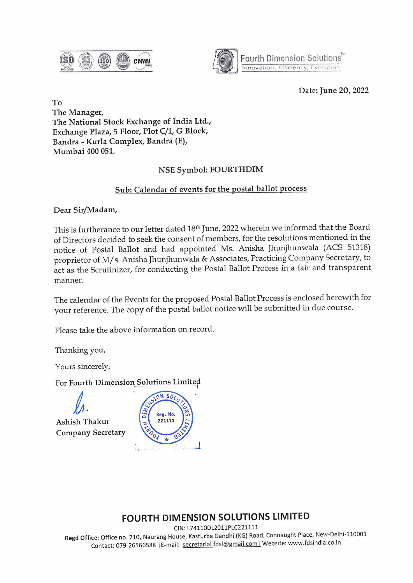$\overline{\mathbf{B}}$   $\mathbf{B}$   $\mathbf{B}$   $\mathbf{C}$   $\mathbf{D}$   $\mathbf{C}$   $\mathbf{D}$   $\mathbf{D}$   $\mathbf{C}$   $\mathbf{D}$   $\mathbf{D}$   $\mathbf{D}$   $\mathbf{D}$   $\mathbf{D}$   $\mathbf{D}$   $\mathbf{D}$   $\mathbf{D}$   $\mathbf{D}$   $\mathbf{D}$   $\mathbf{D}$   $\mathbf{D}$   $\mathbf{D}$   $\mathbf{D}$   $\mathbf{D}$   $\$ acci 2008 / 200 / 200 / 200 / 200 / 200 / 200 / 200 / 200 / 200 / 200 / 200 / 200 / 200 / 200 / 200 / 200 / 20



Fourth Dimension Solutions" **Fourth Dimens**<br>Innovation, Effic innovation, Efficiency, Executias

#### Date: June 20, 2022

To The Manager, The National Stock Exchange of India Ltd., Exchange Plaza, 5 Floor, Plot C/1, G Block, Bandra - Kurla Complex, Bandra (E), Mumbai 400 051.

## NSE Symbol: FOURTHDIM

### Sub: Calendar of events for the postal ballot process

Dear Sir/Madam,

This is furtherance to our letter dated 18<sup>th</sup> June, 2022 wherein we informed that the Board of Directors decided to seek the consent of members, for the resolutions mentioned in the notice of Postal Ballot and had appointed Ms. Anisha Jhunjhunwala (ACS 51318) proprietor of M/s. Anisha Jhunjhunwala & Associates, Practicing Company Secretary, to act as the Scrutinizer, for conducting the Postal Ballot Process in a fair and transparent manner.

The calendar of the Events for the proposed Postal Ballot Process is enclosed herewith for your reference. The copy of the postal ballot notice will be submitted in due course.

Please take the above information on record.

Thanking you,

Yours sincerely,

Ashish Thakur Company Secretary



# FOURTH DIMENSION SOLUTIONS LIMITED

CIN: L74110DL2011PLC221111

), Naurang 1<br>0, Naurang 1<br>666588 | E-n Regd Office: Office no. 710, Naurang House, Kasturba Gandhi (KG) Road, Connaught Place, New-Delhi-110001 Contact: 079-26566588 | E-mail: secretarial.fdsl@gmail.com | Website: www.fdsindia.co.in